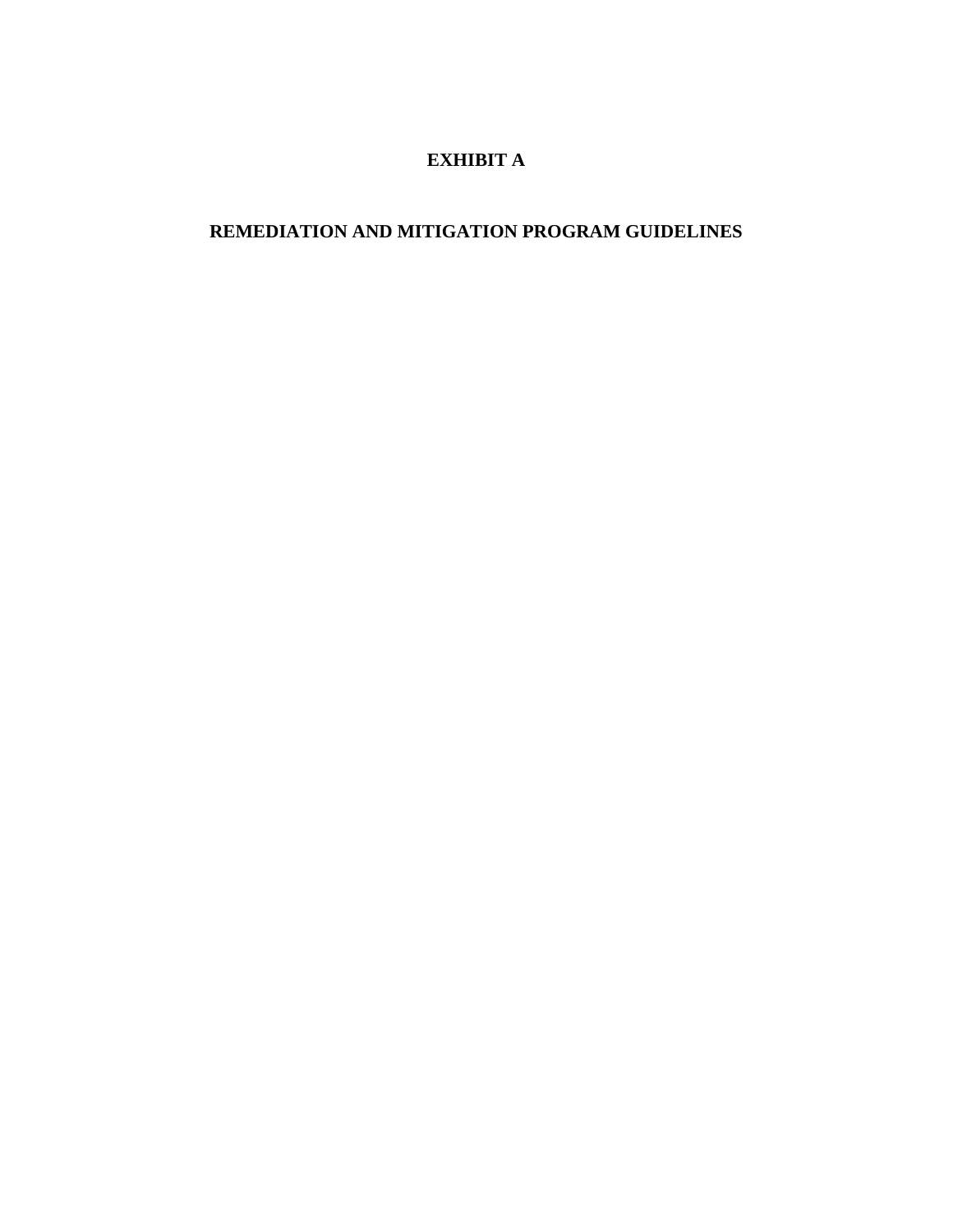# **EXHIBIT A**

# **REMEDIATION AND MITIGATION PROGRAM GUIDELINES**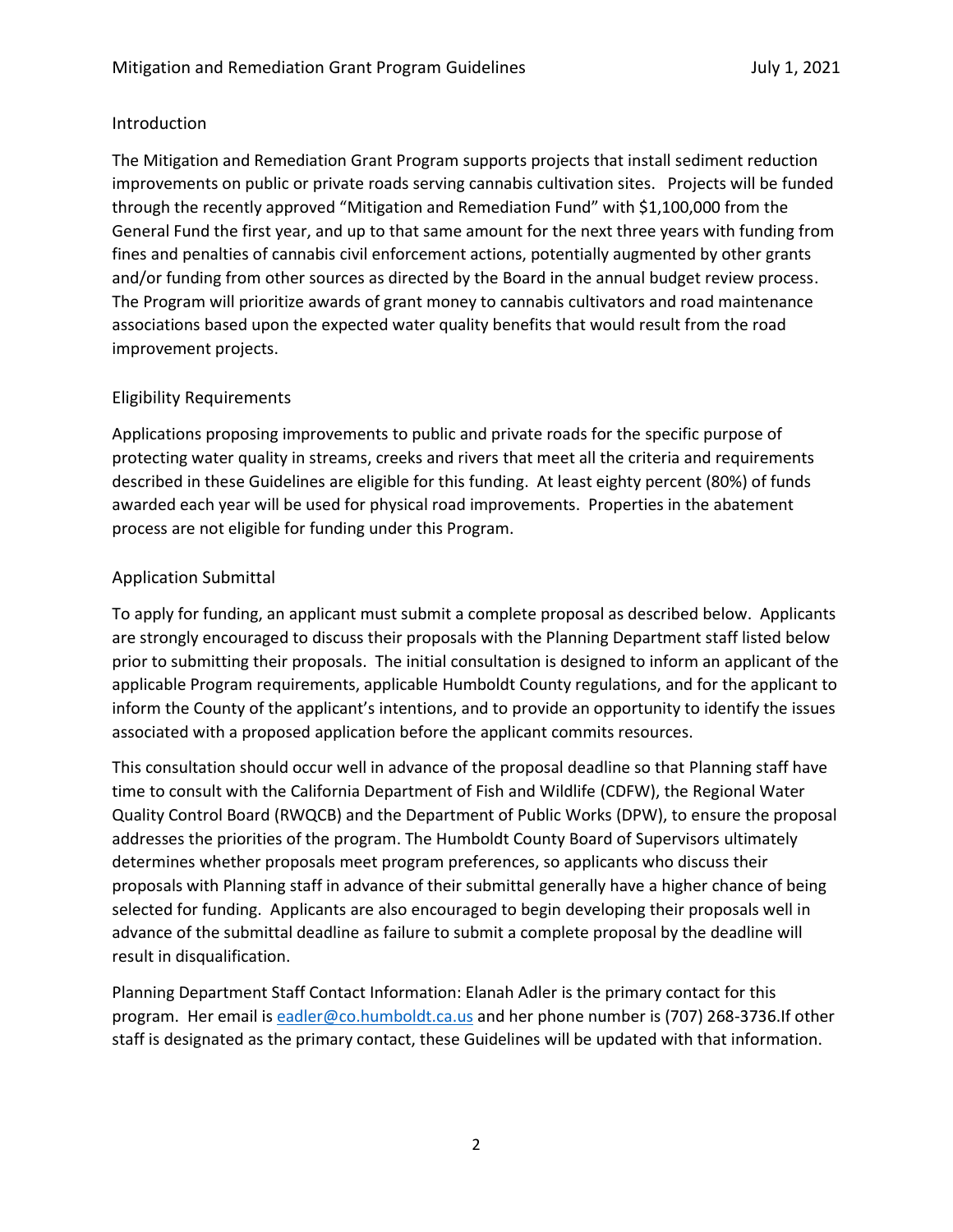### Introduction

The Mitigation and Remediation Grant Program supports projects that install sediment reduction improvements on public or private roads serving cannabis cultivation sites. Projects will be funded through the recently approved "Mitigation and Remediation Fund" with \$1,100,000 from the General Fund the first year, and up to that same amount for the next three years with funding from fines and penalties of cannabis civil enforcement actions, potentially augmented by other grants and/or funding from other sources as directed by the Board in the annual budget review process. The Program will prioritize awards of grant money to cannabis cultivators and road maintenance associations based upon the expected water quality benefits that would result from the road improvement projects.

### Eligibility Requirements

Applications proposing improvements to public and private roads for the specific purpose of protecting water quality in streams, creeks and rivers that meet all the criteria and requirements described in these Guidelines are eligible for this funding. At least eighty percent (80%) of funds awarded each year will be used for physical road improvements. Properties in the abatement process are not eligible for funding under this Program.

## Application Submittal

To apply for funding, an applicant must submit a complete proposal as described below. Applicants are strongly encouraged to discuss their proposals with the Planning Department staff listed below prior to submitting their proposals. The initial consultation is designed to inform an applicant of the applicable Program requirements, applicable Humboldt County regulations, and for the applicant to inform the County of the applicant's intentions, and to provide an opportunity to identify the issues associated with a proposed application before the applicant commits resources.

This consultation should occur well in advance of the proposal deadline so that Planning staff have time to consult with the California Department of Fish and Wildlife (CDFW), the Regional Water Quality Control Board (RWQCB) and the Department of Public Works (DPW), to ensure the proposal addresses the priorities of the program. The Humboldt County Board of Supervisors ultimately determines whether proposals meet program preferences, so applicants who discuss their proposals with Planning staff in advance of their submittal generally have a higher chance of being selected for funding. Applicants are also encouraged to begin developing their proposals well in advance of the submittal deadline as failure to submit a complete proposal by the deadline will result in disqualification.

Planning Department Staff Contact Information: Elanah Adler is the primary contact for this program. Her email is [eadler@co.humboldt.ca.us](mailto:mrichardson@co.humboldt.ca.us) and her phone number is (707) 268-3736.If other staff is designated as the primary contact, these Guidelines will be updated with that information.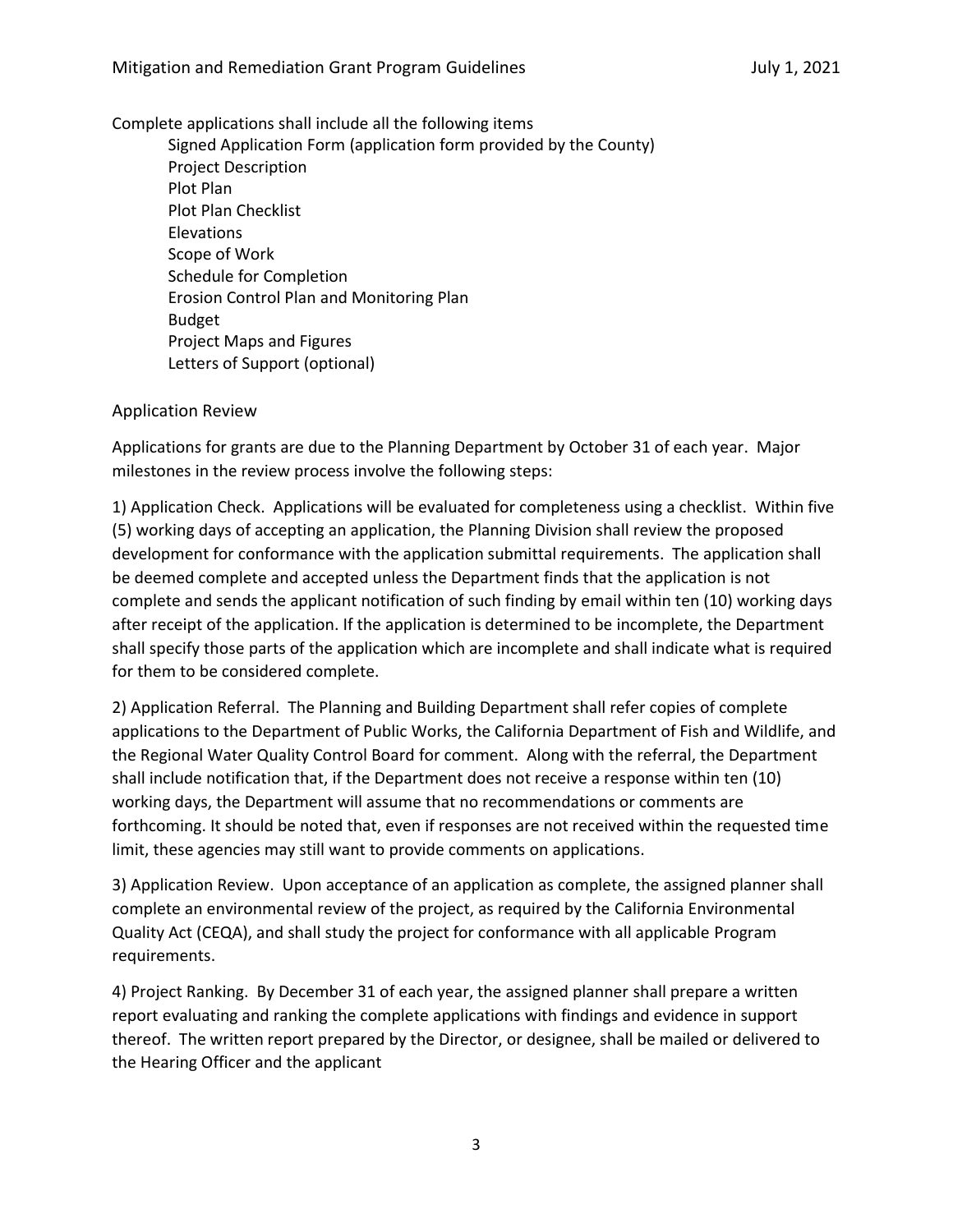#### Complete applications shall include all the following items

Signed Application Form (application form provided by the County) Project Description Plot Plan Plot Plan Checklist Elevations Scope of Work Schedule for Completion Erosion Control Plan and Monitoring Plan Budget Project Maps and Figures Letters of Support (optional)

#### Application Review

Applications for grants are due to the Planning Department by October 31 of each year. Major milestones in the review process involve the following steps:

1) Application Check. Applications will be evaluated for completeness using a checklist. Within five (5) working days of accepting an application, the Planning Division shall review the proposed development for conformance with the application submittal requirements. The application shall be deemed complete and accepted unless the Department finds that the application is not complete and sends the applicant notification of such finding by email within ten (10) working days after receipt of the application. If the application is determined to be incomplete, the Department shall specify those parts of the application which are incomplete and shall indicate what is required for them to be considered complete.

2) Application Referral. The Planning and Building Department shall refer copies of complete applications to the Department of Public Works, the California Department of Fish and Wildlife, and the Regional Water Quality Control Board for comment. Along with the referral, the Department shall include notification that, if the Department does not receive a response within ten (10) working days, the Department will assume that no recommendations or comments are forthcoming. It should be noted that, even if responses are not received within the requested time limit, these agencies may still want to provide comments on applications.

3) Application Review. Upon acceptance of an application as complete, the assigned planner shall complete an environmental review of the project, as required by the California Environmental Quality Act (CEQA), and shall study the project for conformance with all applicable Program requirements.

4) Project Ranking. By December 31 of each year, the assigned planner shall prepare a written report evaluating and ranking the complete applications with findings and evidence in support thereof. The written report prepared by the Director, or designee, shall be mailed or delivered to the Hearing Officer and the applicant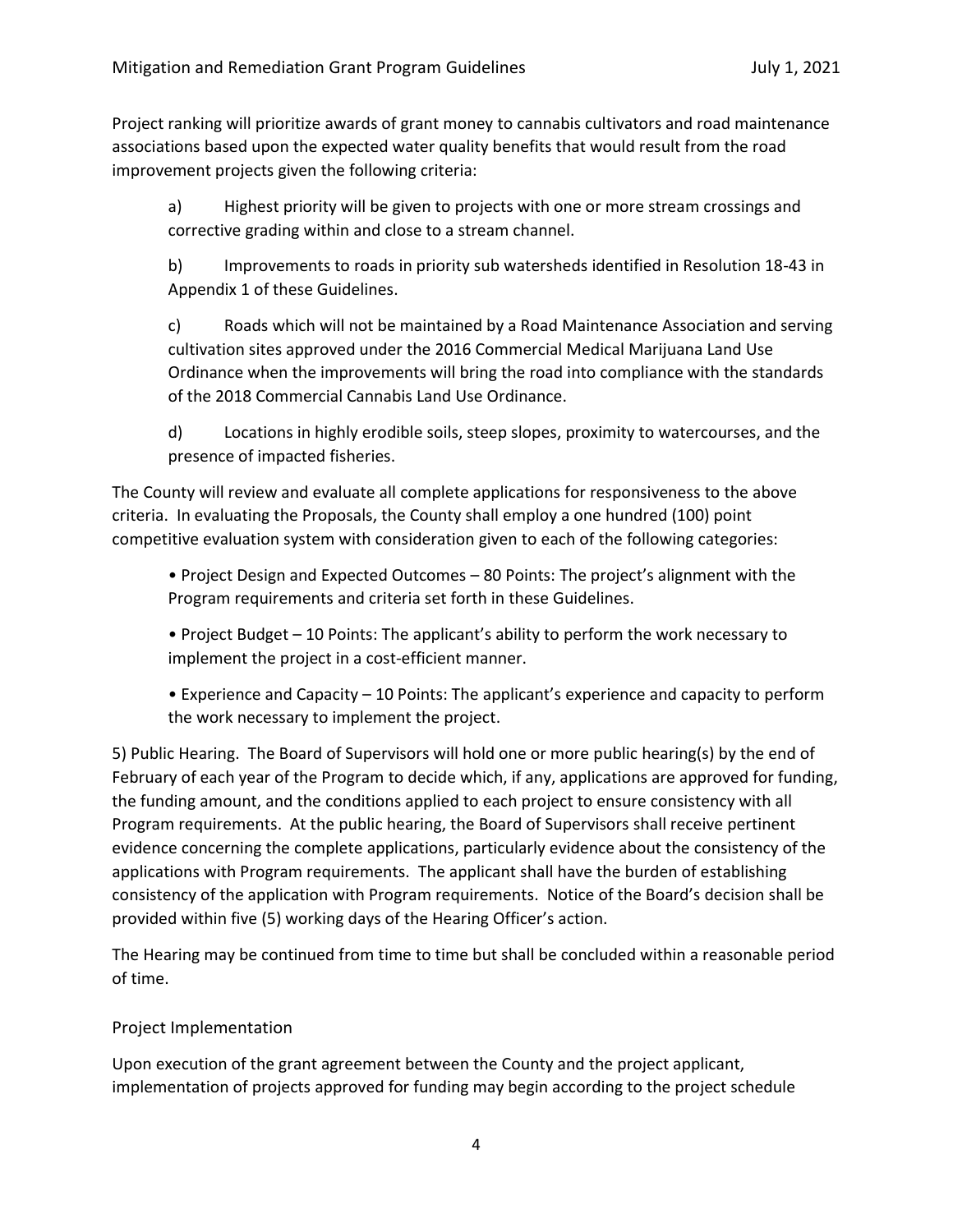Project ranking will prioritize awards of grant money to cannabis cultivators and road maintenance associations based upon the expected water quality benefits that would result from the road improvement projects given the following criteria:

a) Highest priority will be given to projects with one or more stream crossings and corrective grading within and close to a stream channel.

b) Improvements to roads in priority sub watersheds identified in Resolution 18-43 in Appendix 1 of these Guidelines.

c) Roads which will not be maintained by a Road Maintenance Association and serving cultivation sites approved under the 2016 Commercial Medical Marijuana Land Use Ordinance when the improvements will bring the road into compliance with the standards of the 2018 Commercial Cannabis Land Use Ordinance.

d) Locations in highly erodible soils, steep slopes, proximity to watercourses, and the presence of impacted fisheries.

The County will review and evaluate all complete applications for responsiveness to the above criteria. In evaluating the Proposals, the County shall employ a one hundred (100) point competitive evaluation system with consideration given to each of the following categories:

• Project Design and Expected Outcomes – 80 Points: The project's alignment with the Program requirements and criteria set forth in these Guidelines.

• Project Budget – 10 Points: The applicant's ability to perform the work necessary to implement the project in a cost-efficient manner.

• Experience and Capacity – 10 Points: The applicant's experience and capacity to perform the work necessary to implement the project.

5) Public Hearing. The Board of Supervisors will hold one or more public hearing(s) by the end of February of each year of the Program to decide which, if any, applications are approved for funding, the funding amount, and the conditions applied to each project to ensure consistency with all Program requirements. At the public hearing, the Board of Supervisors shall receive pertinent evidence concerning the complete applications, particularly evidence about the consistency of the applications with Program requirements. The applicant shall have the burden of establishing consistency of the application with Program requirements. Notice of the Board's decision shall be provided within five (5) working days of the Hearing Officer's action.

The Hearing may be continued from time to time but shall be concluded within a reasonable period of time.

## Project Implementation

Upon execution of the grant agreement between the County and the project applicant, implementation of projects approved for funding may begin according to the project schedule